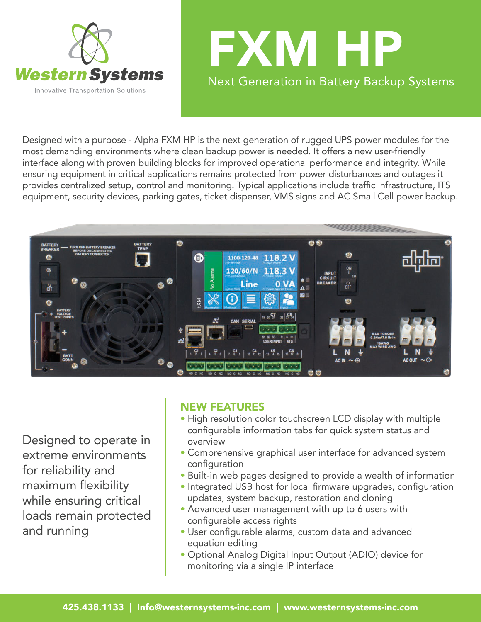



Designed with a purpose - Alpha FXM HP is the next generation of rugged UPS power modules for the most demanding environments where clean backup power is needed. It offers a new user-friendly interface along with proven building blocks for improved operational performance and integrity. While ensuring equipment in critical applications remains protected from power disturbances and outages it provides centralized setup, control and monitoring. Typical applications include traffic infrastructure, ITS equipment, security devices, parking gates, ticket dispenser, VMS signs and AC Small Cell power backup.



Designed to operate in extreme environments for reliability and maximum flexibility while ensuring critical loads remain protected and running

## NEW FEATURES

- High resolution color touchscreen LCD display with multiple configurable information tabs for quick system status and overview
- Comprehensive graphical user interface for advanced system configuration
- Built-in web pages designed to provide a wealth of information
- Integrated USB host for local firmware upgrades, configuration updates, system backup, restoration and cloning
- Advanced user management with up to 6 users with configurable access rights
- User configurable alarms, custom data and advanced equation editing
- Optional Analog Digital Input Output (ADIO) device for monitoring via a single IP interface